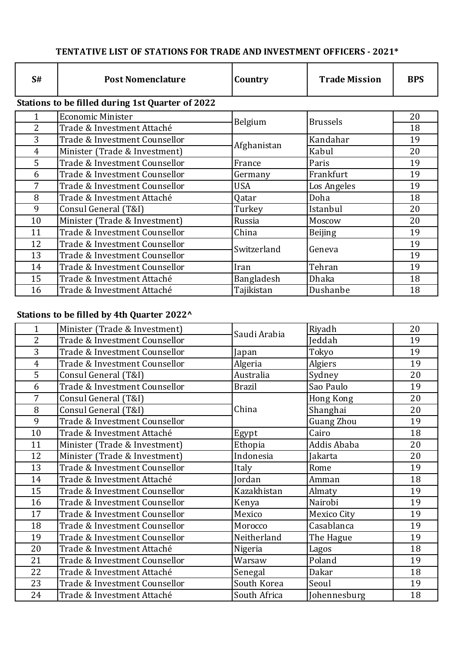## TENTATIVE LIST OF STATIONS FOR TRADE AND INVESTMENT OFFICERS - 2021\*

| S#                                               | <b>Post Nomenclature</b>      | Country     | <b>Trade Mission</b> | <b>BPS</b> |  |  |
|--------------------------------------------------|-------------------------------|-------------|----------------------|------------|--|--|
| Stations to be filled during 1st Quarter of 2022 |                               |             |                      |            |  |  |
|                                                  | <b>Economic Minister</b>      | Belgium     | <b>Brussels</b>      | 20         |  |  |
| $\overline{2}$                                   | Trade & Investment Attaché    |             |                      | 18         |  |  |
| 3                                                | Trade & Investment Counsellor | Afghanistan | Kandahar             | 19         |  |  |
| 4                                                | Minister (Trade & Investment) |             | Kabul                | 20         |  |  |
| 5                                                | Trade & Investment Counsellor | France      | Paris                | 19         |  |  |
| 6                                                | Trade & Investment Counsellor | Germany     | Frankfurt            | 19         |  |  |
| 7                                                | Trade & Investment Counsellor | <b>USA</b>  | Los Angeles          | 19         |  |  |
| 8                                                | Trade & Investment Attaché    | Qatar       | Doha                 | 18         |  |  |
| 9                                                | Consul General (T&I)          | Turkey      | Istanbul             | 20         |  |  |
| 10                                               | Minister (Trade & Investment) | Russia      | Moscow               | 20         |  |  |
| 11                                               | Trade & Investment Counsellor | China       | <b>Beijing</b>       | 19         |  |  |
| 12                                               | Trade & Investment Counsellor | Switzerland | Geneva               | 19         |  |  |
| 13                                               | Trade & Investment Counsellor |             |                      | 19         |  |  |
| 14                                               | Trade & Investment Counsellor | Iran        | Tehran               | 19         |  |  |
| 15                                               | Trade & Investment Attaché    | Bangladesh  | Dhaka                | 18         |  |  |
| 16                                               | Trade & Investment Attaché    | Tajikistan  | Dushanbe             | 18         |  |  |

## **Stations to be filled by 4th Quarter 2022^**

| $\mathbf 1$    | Minister (Trade & Investment) | Saudi Arabia  | Riyadh             | 20 |
|----------------|-------------------------------|---------------|--------------------|----|
| $\overline{2}$ | Trade & Investment Counsellor |               | Jeddah             | 19 |
| 3              | Trade & Investment Counsellor | Japan         | Tokyo              | 19 |
| $\overline{4}$ | Trade & Investment Counsellor | Algeria       | Algiers            | 19 |
| 5              | Consul General (T&I)          | Australia     | Sydney             | 20 |
| 6              | Trade & Investment Counsellor | <b>Brazil</b> | Sao Paulo          | 19 |
| 7              | Consul General (T&I)          |               | Hong Kong          | 20 |
| 8              | Consul General (T&I)          | China         | Shanghai           | 20 |
| 9              | Trade & Investment Counsellor |               | Guang Zhou         | 19 |
| 10             | Trade & Investment Attaché    | Egypt         | Cairo              | 18 |
| 11             | Minister (Trade & Investment) | Ethopia       | Addis Ababa        | 20 |
| 12             | Minister (Trade & Investment) | Indonesia     | Jakarta            | 20 |
| 13             | Trade & Investment Counsellor | Italy         | Rome               | 19 |
| 14             | Trade & Investment Attaché    | Jordan        | Amman              | 18 |
| 15             | Trade & Investment Counsellor | Kazakhistan   | Almaty             | 19 |
| 16             | Trade & Investment Counsellor | Kenya         | Nairobi            | 19 |
| 17             | Trade & Investment Counsellor | Mexico        | <b>Mexico City</b> | 19 |
| 18             | Trade & Investment Counsellor | Morocco       | Casablanca         | 19 |
| 19             | Trade & Investment Counsellor | Neitherland   | The Hague          | 19 |
| 20             | Trade & Investment Attaché    | Nigeria       | Lagos              | 18 |
| 21             | Trade & Investment Counsellor | Warsaw        | Poland             | 19 |
| 22             | Trade & Investment Attaché    | Senegal       | Dakar              | 18 |
| 23             | Trade & Investment Counsellor | South Korea   | Seoul              | 19 |
| 24             | Trade & Investment Attaché    | South Africa  | Johennesburg       | 18 |